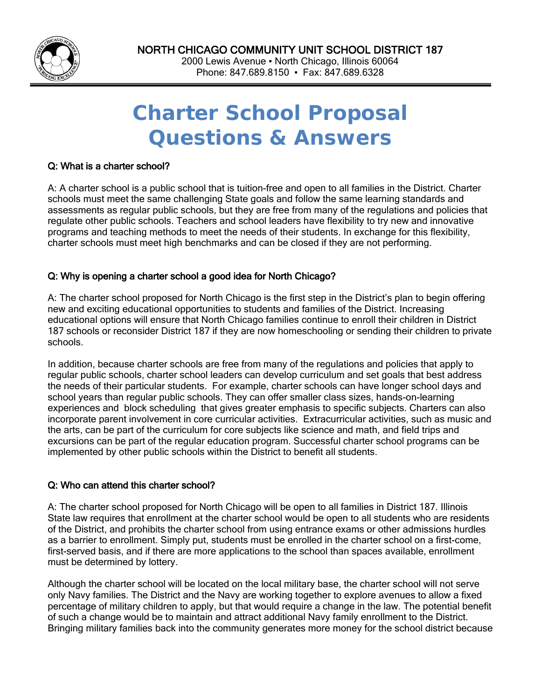

Phone: 847.689.8150 ▪ Fax: 847.689.6328

# **Charter School Proposal Questions & Answers**

## Q: What is a charter school?

:

A: A charter school is a public school that is tuition-free and open to all families in the District. Charter schools must meet the same challenging State goals and follow the same learning standards and assessments as regular public schools, but they are free from many of the regulations and policies that regulate other public schools. Teachers and school leaders have flexibility to try new and innovative programs and teaching methods to meet the needs of their students. In exchange for this flexibility, charter schools must meet high benchmarks and can be closed if they are not performing.

## Q: Why is opening a charter school a good idea for North Chicago?

A: The charter school proposed for North Chicago is the first step in the District's plan to begin offering new and exciting educational opportunities to students and families of the District. Increasing educational options will ensure that North Chicago families continue to enroll their children in District 187 schools or reconsider District 187 if they are now homeschooling or sending their children to private schools.

In addition, because charter schools are free from many of the regulations and policies that apply to regular public schools, charter school leaders can develop curriculum and set goals that best address the needs of their particular students. For example, charter schools can have longer school days and school years than regular public schools. They can offer smaller class sizes, hands-on-learning experiences and block scheduling that gives greater emphasis to specific subjects. Charters can also incorporate parent involvement in core curricular activities. Extracurricular activities, such as music and the arts, can be part of the curriculum for core subjects like science and math, and field trips and excursions can be part of the regular education program. Successful charter school programs can be implemented by other public schools within the District to benefit all students.

## Q: Who can attend this charter school?

A: The charter school proposed for North Chicago will be open to all families in District 187. Illinois State law requires that enrollment at the charter school would be open to all students who are residents of the District, and prohibits the charter school from using entrance exams or other admissions hurdles as a barrier to enrollment. Simply put, students must be enrolled in the charter school on a first-come, first-served basis, and if there are more applications to the school than spaces available, enrollment must be determined by lottery.

Although the charter school will be located on the local military base, the charter school will not serve only Navy families. The District and the Navy are working together to explore avenues to allow a fixed percentage of military children to apply, but that would require a change in the law. The potential benefit of such a change would be to maintain and attract additional Navy family enrollment to the District. Bringing military families back into the community generates more money for the school district because